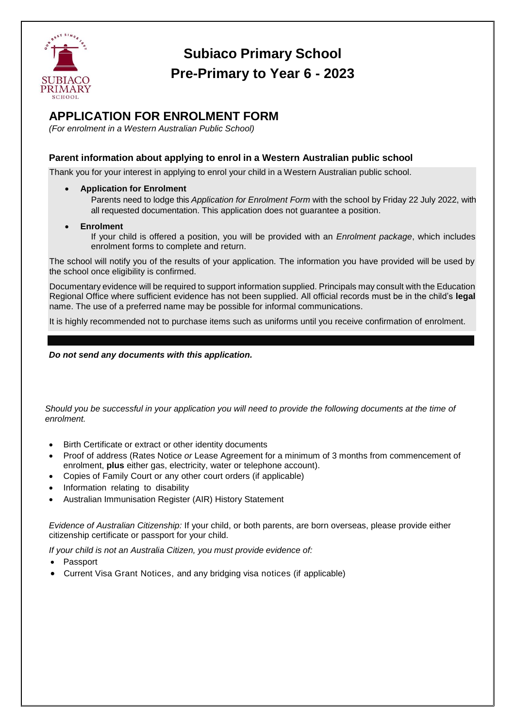

## **Subiaco Primary School Pre-Primary to Year 6 - 2023**

## **APPLICATION FOR ENROLMENT FORM**

*(For enrolment in a Western Australian Public School)*

## **Parent information about applying to enrol in a Western Australian public school**

Thank you for your interest in applying to enrol your child in a Western Australian public school.

**Application for Enrolment**

Parents need to lodge this *Application for Enrolment Form* with the school by Friday 22 July 2022, with all requested documentation. This application does not guarantee a position.

 **Enrolment** If your child is offered a position, you will be provided with an *Enrolment package*, which includes enrolment forms to complete and return.

The school will notify you of the results of your application. The information you have provided will be used by the school once eligibility is confirmed.

Documentary evidence will be required to support information supplied. Principals may consult with the Education Regional Office where sufficient evidence has not been supplied. All official records must be in the child's **legal**  name. The use of a preferred name may be possible for informal communications.

It is highly recommended not to purchase items such as uniforms until you receive confirmation of enrolment.

*Do not send any documents with this application.*

*Should you be successful in your application you will need to provide the following documents at the time of enrolment.* 

- Birth Certificate or extract or other identity documents
- Proof of address (Rates Notice *or* Lease Agreement for a minimum of 3 months from commencement of enrolment, **plus** either gas, electricity, water or telephone account).
- Copies of Family Court or any other court orders (if applicable)
- Information relating to disability
- Australian Immunisation Register (AIR) History Statement

*Evidence of Australian Citizenship:* If your child, or both parents, are born overseas, please provide either citizenship certificate or passport for your child.

*If your child is not an Australia Citizen, you must provide evidence of:*

- Passport
- Current Visa Grant Notices, and any bridging visa notices (if applicable)